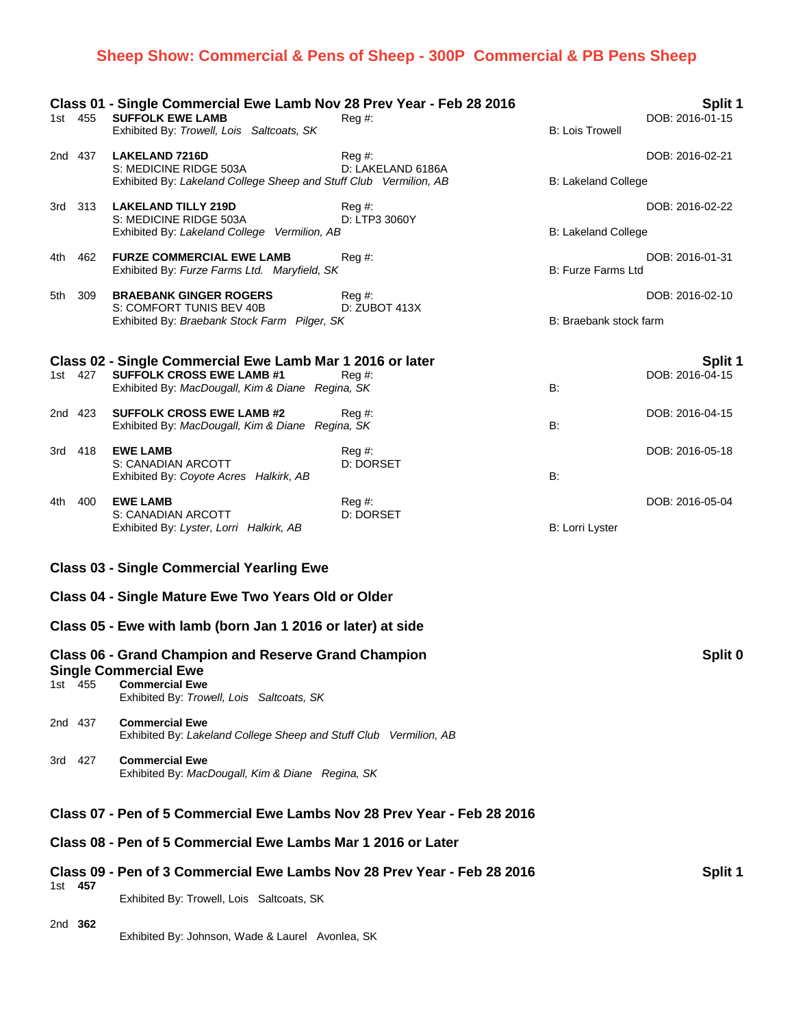# **Sheep Show: Commercial & Pens of Sheep - 300P Commercial & PB Pens Sheep**

| 1st 455                                                                                                                                                                      |     | Class 01 - Single Commercial Ewe Lamb Nov 28 Prev Year - Feb 28 2016<br><b>SUFFOLK EWE LAMB</b><br>Exhibited By: Trowell, Lois Saltcoats, SK      | $Reg#$ :                    | <b>B: Lois Trowell</b>     | Split 1<br>DOB: 2016-01-15        |
|------------------------------------------------------------------------------------------------------------------------------------------------------------------------------|-----|---------------------------------------------------------------------------------------------------------------------------------------------------|-----------------------------|----------------------------|-----------------------------------|
| 2nd 437                                                                                                                                                                      |     | <b>LAKELAND 7216D</b><br>S: MEDICINE RIDGE 503A<br>Exhibited By: Lakeland College Sheep and Stuff Club Vermilion, AB                              | Reg #:<br>D: LAKELAND 6186A | <b>B: Lakeland College</b> | DOB: 2016-02-21                   |
| 3rd 313                                                                                                                                                                      |     | <b>LAKELAND TILLY 219D</b><br>S: MEDICINE RIDGE 503A<br>Exhibited By: Lakeland College Vermilion, AB                                              | Reg #:<br>D: LTP3 3060Y     | <b>B: Lakeland College</b> | DOB: 2016-02-22                   |
| 4th -                                                                                                                                                                        | 462 | <b>FURZE COMMERCIAL EWE LAMB</b><br>Exhibited By: Furze Farms Ltd. Maryfield, SK                                                                  | Reg #:                      | B: Furze Farms Ltd         | DOB: 2016-01-31                   |
| 5th                                                                                                                                                                          | 309 | <b>BRAEBANK GINGER ROGERS</b><br>S: COMFORT TUNIS BEV 40B<br>Exhibited By: Braebank Stock Farm Pilger, SK                                         | Reg #:<br>D: ZUBOT 413X     | B: Braebank stock farm     | DOB: 2016-02-10                   |
| 1st 427                                                                                                                                                                      |     | Class 02 - Single Commercial Ewe Lamb Mar 1 2016 or later<br><b>SUFFOLK CROSS EWE LAMB #1</b><br>Exhibited By: MacDougall, Kim & Diane Regina, SK | Reg #:                      | <b>B:</b>                  | <b>Split 1</b><br>DOB: 2016-04-15 |
| 2nd 423                                                                                                                                                                      |     | <b>SUFFOLK CROSS EWE LAMB #2</b><br>Exhibited By: MacDougall, Kim & Diane Regina, SK                                                              | $Reg#$ :                    | B:                         | DOB: 2016-04-15                   |
| 3rd 418                                                                                                                                                                      |     | <b>EWE LAMB</b><br>S: CANADIAN ARCOTT<br>Exhibited By: Coyote Acres Halkirk, AB                                                                   | Reg#<br>D: DORSET           | B:                         | DOB: 2016-05-18                   |
| 4th -                                                                                                                                                                        | 400 | <b>EWE LAMB</b><br>S: CANADIAN ARCOTT<br>Exhibited By: Lyster, Lorri Halkirk, AB                                                                  | Reg#<br>D: DORSET           | B: Lorri Lyster            | DOB: 2016-05-04                   |
| <b>Class 03 - Single Commercial Yearling Ewe</b>                                                                                                                             |     |                                                                                                                                                   |                             |                            |                                   |
| Class 04 - Single Mature Ewe Two Years Old or Older                                                                                                                          |     |                                                                                                                                                   |                             |                            |                                   |
|                                                                                                                                                                              |     | Class 05 - Ewe with lamb (born Jan 1 2016 or later) at side                                                                                       |                             |                            |                                   |
| <b>Class 06 - Grand Champion and Reserve Grand Champion</b><br><b>Single Commercial Ewe</b><br><b>Commercial Ewe</b><br>1st 455<br>Exhibited By: Trowell, Lois Saltcoats, SK |     |                                                                                                                                                   |                             |                            | Split 0                           |
| 2nd 437                                                                                                                                                                      |     | <b>Commercial Ewe</b><br>Exhibited By: Lakeland College Sheep and Stuff Club Vermilion, AB                                                        |                             |                            |                                   |
| 3rd 427                                                                                                                                                                      |     | <b>Commercial Ewe</b><br>Exhibited By: MacDougall, Kim & Diane Regina, SK                                                                         |                             |                            |                                   |
| Class 07 - Pen of 5 Commercial Ewe Lambs Nov 28 Prey Year - Feb 28 2016                                                                                                      |     |                                                                                                                                                   |                             |                            |                                   |
|                                                                                                                                                                              |     | Class 08 - Pen of 5 Commercial Ewe Lambs Mar 1 2016 or Later                                                                                      |                             |                            |                                   |
| 1st 457                                                                                                                                                                      |     | Class 09 - Pen of 3 Commercial Ewe Lambs Nov 28 Prev Year - Feb 28 2016                                                                           |                             |                            | Split 1                           |
|                                                                                                                                                                              |     | Exhibited By: Trowell, Lois Saltcoats, SK                                                                                                         |                             |                            |                                   |

2nd **362**

Exhibited By: Johnson, Wade & Laurel Avonlea, SK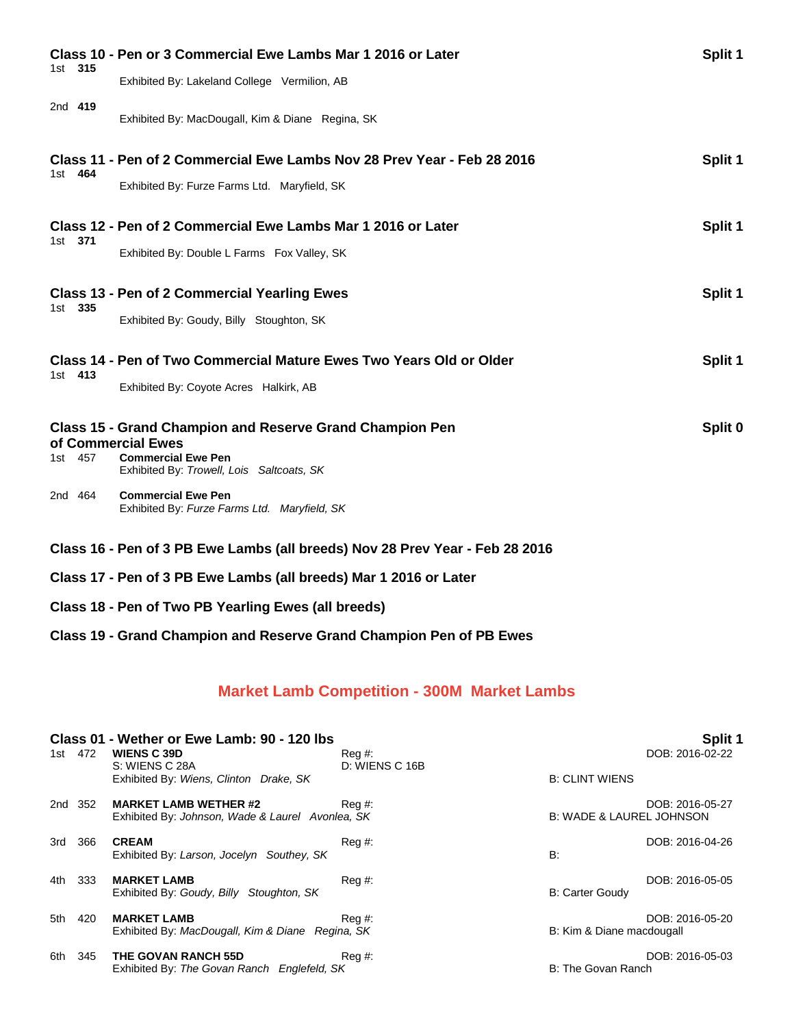| Class 10 - Pen or 3 Commercial Ewe Lambs Mar 1 2016 or Later                                                                             |                                                                                                                        |         |  |
|------------------------------------------------------------------------------------------------------------------------------------------|------------------------------------------------------------------------------------------------------------------------|---------|--|
| 1st 315                                                                                                                                  | Exhibited By: Lakeland College Vermilion, AB                                                                           |         |  |
| 2nd 419                                                                                                                                  | Exhibited By: MacDougall, Kim & Diane Regina, SK                                                                       |         |  |
|                                                                                                                                          | Class 11 - Pen of 2 Commercial Ewe Lambs Nov 28 Prev Year - Feb 28 2016                                                | Split 1 |  |
| 1st 464                                                                                                                                  | Exhibited By: Furze Farms Ltd. Maryfield, SK                                                                           |         |  |
| 1st 371                                                                                                                                  | Class 12 - Pen of 2 Commercial Ewe Lambs Mar 1 2016 or Later                                                           | Split 1 |  |
|                                                                                                                                          | Exhibited By: Double L Farms Fox Valley, SK                                                                            |         |  |
| 1st 335                                                                                                                                  | <b>Class 13 - Pen of 2 Commercial Yearling Ewes</b>                                                                    | Split 1 |  |
|                                                                                                                                          | Exhibited By: Goudy, Billy Stoughton, SK                                                                               |         |  |
|                                                                                                                                          | Class 14 - Pen of Two Commercial Mature Ewes Two Years Old or Older                                                    | Split 1 |  |
| 1st 413                                                                                                                                  | Exhibited By: Coyote Acres Halkirk, AB                                                                                 |         |  |
| Split 0<br><b>Class 15 - Grand Champion and Reserve Grand Champion Pen</b><br>of Commercial Ewes<br><b>Commercial Ewe Pen</b><br>1st 457 |                                                                                                                        |         |  |
| 2nd 464                                                                                                                                  | Exhibited By: Trowell, Lois Saltcoats, SK<br><b>Commercial Ewe Pen</b><br>Exhibited By: Furze Farms Ltd. Maryfield, SK |         |  |
| Class 16 - Pen of 3 PB Ewe Lambs (all breeds) Nov 28 Prev Year - Feb 28 2016                                                             |                                                                                                                        |         |  |
|                                                                                                                                          | Class 17 - Pen of 3 PB Ewe Lambs (all breeds) Mar 1 2016 or Later                                                      |         |  |
|                                                                                                                                          | Class 18 - Pen of Two PB Yearling Ewes (all breeds)                                                                    |         |  |

## **Class 19 - Grand Champion and Reserve Grand Champion Pen of PB Ewes**

## **Market Lamb Competition - 300M Market Lambs**

|     | 1st 472 | Class 01 - Wether or Ewe Lamb: 90 - 120 lbs<br><b>WIENS C 39D</b><br>S: WIENS C 28A<br>Exhibited By: Wiens, Clinton Drake, SK | Reg #:<br>D: WIENS C 16B |                                     | Split 1<br>DOB: 2016-02-22 |
|-----|---------|-------------------------------------------------------------------------------------------------------------------------------|--------------------------|-------------------------------------|----------------------------|
|     |         |                                                                                                                               |                          | <b>B: CLINT WIENS</b>               |                            |
|     | 2nd 352 | <b>MARKET LAMB WETHER #2</b><br>Exhibited By: Johnson, Wade & Laurel Avonlea, SK                                              | $\text{Re}q \#$ :        | <b>B: WADE &amp; LAUREL JOHNSON</b> | DOB: 2016-05-27            |
| 3rd | 366     | <b>CREAM</b><br>Exhibited By: Larson, Jocelyn Southey, SK                                                                     | Reg#                     | B:                                  | DOB: 2016-04-26            |
| 4th | 333     | <b>MARKET LAMB</b><br>Exhibited By: Goudy, Billy<br>Stoughton, SK                                                             | Reg#                     | <b>B: Carter Goudy</b>              | DOB: 2016-05-05            |
| 5th | 420     | <b>MARKET LAMB</b><br>Exhibited By: MacDougall, Kim & Diane Regina, SK                                                        | $\text{Re}q \#$ :        | B: Kim & Diane macdougall           | DOB: 2016-05-20            |
| 6th | 345     | <b>THE GOVAN RANCH 55D</b><br>Exhibited By: The Govan Ranch Englefeld, SK                                                     | Reg #:                   | B: The Govan Ranch                  | DOB: 2016-05-03            |